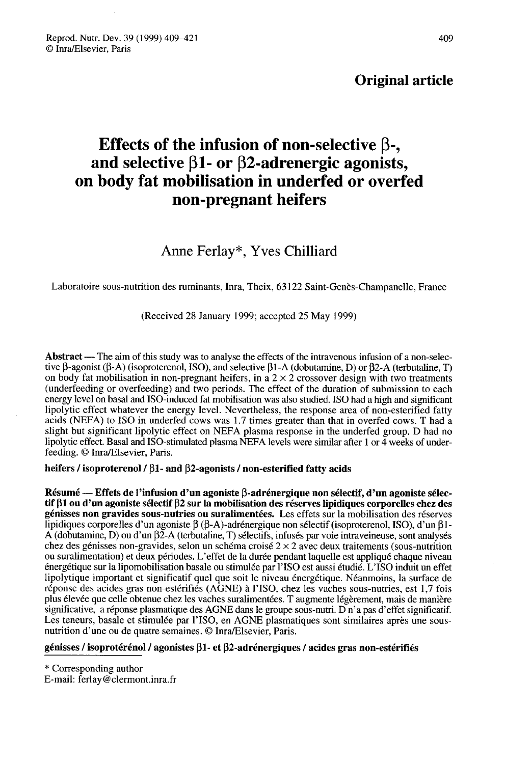## Original article

# Effects of the infusion of non-selective β-, and selective β1- or β2-adrenergic agonists, on body fat mobilisation in underfed or overfed non-pregnant heifers

Anne Ferlay\*, Yves Chilliard

Laboratoire sous-nutrition des ruminants, Inra, Theix, 63122 Saint-Genès-Champanelle, France

(Received 28 January 1999; accepted 25 May 1999)

Abstract — The aim of this study was to analyse the effects of the intravenous infusion of a non-selective  $\beta$ -agonist ( $\beta$ -A) (isoproterenol, ISO), and selective  $\beta$ 1-A (dobutamine, D) or  $\beta$ 2-A (terbutaline, T) on body fat mobilisation in non-pregnant heifers, in a  $2 \times 2$  crossover design with two treatments (underfeeding or overfeeding) and two periods. The effect of the duration of submission to each energy level on basal and ISO-induced fat mobilisation was also studied. ISO had a high and significant lipolytic effect whatever the energy level. Nevertheless, the response area of non-esterified fatty acids (NEFA) to ISO in underfed cows was 1.7 times greater than that in overfed cows. T had a slight but significant lipolytic effect on NEFA plasma response in the underfed group. D had no lipolytic effect. Basal and ISO-stimulated plasma NEFA levels were similar after 1 or 4 weeks of underfeeding. © Inra/Elsevier, Paris.

heifers / isoproterenol /  $\beta$ 1- and  $\beta$ 2-agonists / non-esterified fatty acids

Résumé — Effets de l'infusion d'un agoniste  $\beta$ -adrénergique non sélectif, d'un agoniste sélectif  $\beta$ 1 ou d'un agoniste sélectif  $\beta$ 2 sur la mobilisation des réserves lipidiques corporelles chez des génisses non gravides sous-nutries ou suralimentées. Les effets sur la mobilisation des réserves lipidiques corporelles d'un agoniste  $\beta$  ( $\beta$ -A)-adrénergique non sélectif (isoproterenol, ISO), d'un  $\beta$ 1-A (dobutamine, D) ou d'un  $\beta \tilde{2}$ -A (terbutaline, T) sélectifs, infusés par voie intraveineuse, sont analysés chez des génisses non-gravides, selon un schéma croisé 2 × 2 avec deux traitements (sous-nutrition ou suralimentation) et deux périodes. L'effet de la durée pendant laquelle est appliqué chaque niveau énergétique sur la lipomobilisation basale ou stimulée par l'ISO est aussi étudié. L'ISO induit un effet lipolytique important et significatif quel que soit le niveau énergétique. Néanmoins, la surface de réponse des acides gras non-estérifiés (AGNE) à l'ISO, chez les vaches sous-nutries, est 1,7 fois plus élevée que celle obtenue chez les vaches suralimentées. T augmente légèrement, mais de manière significative, a réponse plasmatique des AGNE dans le groupe sous-nutri. D n'a pas d'effet significatif. Les teneurs, basale et stimulée par l'ISO, en AGNE plasmatiques sont similaires après une sousnutrition d'une ou de quatre semaines. © Inra/Elsevier, Paris.

#### génisses / isoprotérénol / agonistes  $\beta$ 1- et  $\beta$ 2-adrénergiques / acides gras non-estérifiés

\* Corresponding author

E-mail: ferlay@clermont.inra.fr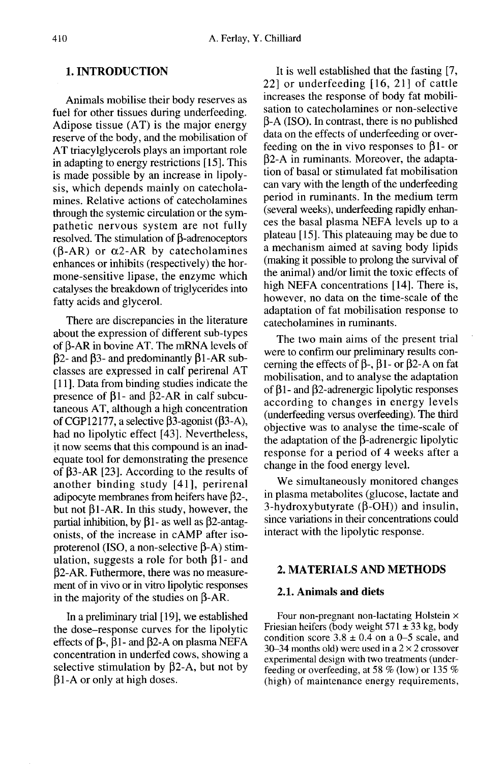## 1. INTRODUCTION

Animals mobilise their body reserves as fuel for other tissues during underfeeding. Adipose tissue (AT) is the major energy reserve of the body, and the mobilisation of AT triacylglycerols plays an important role in adapting to energy restrictions [15]. This is made possible by an increase in lipolysis, which depends mainly on catecholamines. Relative actions of catecholamines through the systemic circulation or the sympathetic nervous system are not fully  $resolved.$  The stimulation of  $\beta$ -adrenoceptors  $(\beta$ -AR) or  $\alpha$ 2-AR by catecholamines enhances or inhibits (respectively) the hormone-sensitive lipase, the enzyme which catalyses the breakdown of triglycerides into fatty acids and glycerol.

There are discrepancies in the literature about the expression of different sub-types of  $\beta$ -AR in bovine AT. The mRNA levels of  $\beta$ 2- and  $\beta$ 3- and predominantly  $\beta$ 1-AR subclasses are expressed in calf perirenal AT [11]. Data from binding studies indicate the presence of  $\beta$ 1- and  $\beta$ 2-AR in calf subcutaneous AT, although a high concentration of CGP12177, a selective  $\beta$ 3-agonist ( $\beta$ 3-A), had no lipolytic effect [43]. Nevertheless, it now seems that this compound is an inadequate tool for demonstrating the presence of  $\beta$ 3-AR [23]. According to the results of another binding study [41], perirenal adipocyte membranes from heifers have  $\beta$ 2-, but not  $\beta$ 1-AR. In this study, however, the partial inhibition, by  $\beta$ 1- as well as  $\beta$ 2-antagonists, of the increase in cAMP after isoproterenol (ISO, a non-selective  $\beta$ -A) stimulation, suggests a role for both  $\beta$ 1- and p2-AR. Futhermore, there was no measurement of in vivo or in vitro lipolytic responses in the majority of the studies on  $\beta$ -AR.

In a preliminary trial [19], we established the dose-response curves for the lipolytic effects of  $\beta$ -,  $\beta$ 1- and  $\beta$ 2-A on plasma NEFA concentration in underfed cows, showing a selective stimulation by  $\beta$ 2-A, but not by  $\beta$ 1-A or only at high doses.

It is well established that the fasting [7, 22] or underfeeding [16, 21] of cattle increases the response of body fat mobilisation to catecholamines or non-selective  $\beta$ -A (ISO). In contrast, there is no published data on the effects of underfeeding or overfeeding on the in vivo responses to  $\beta$ 1- or  $\beta$ 2-A in ruminants. Moreover, the adaptation of basal or stimulated fat mobilisation can vary with the length of the underfeeding period in ruminants. In the medium term (several weeks), underfeeding rapidly enhances the basal plasma NEFA levels up to a plateau [15]. This plateauing may be due to a mechanism aimed at saving body lipids (making it possible to prolong the survival of the animal) and/or limit the toxic effects of high NEFA concentrations [14]. There is, however, no data on the time-scale of the adaptation of fat mobilisation response to catecholamines in ruminants.

The two main aims of the present trial were to confirm our preliminary results concerning the effects of  $\beta$ -,  $\beta$ 1- or  $\beta$ 2-A on fat mobilisation, and to analyse the adaptation of  $\beta$ 1- and  $\beta$ 2-adrenergic lipolytic responses according to changes in energy levels (underfeeding versus overfeeding). The third objective was to analyse the time-scale of the adaptation of the  $\beta$ -adrenergic lipolytic response for a period of 4 weeks after a change in the food energy level.

We simultaneously monitored changes in plasma metabolites (glucose, lactate and 3-hydroxybutyrate  $(\beta$ -OH)) and insulin, since variations in their concentrations could interact with the lipolytic response.

## 2. MATERIALS AND METHODS

#### 2.1. Animals and diets

Four non-pregnant non-lactating Holstein x Friesian heifers (body weight  $571 \pm 33$  kg, body condition score  $3.8 \pm 0.4$  on a 0-5 scale, and 30–34 months old) were used in a  $2 \times 2$  crossover experimental design with two treatments (underfeeding or overfeeding, at 58 % (low) or 135 % (high) of maintenance energy requirements,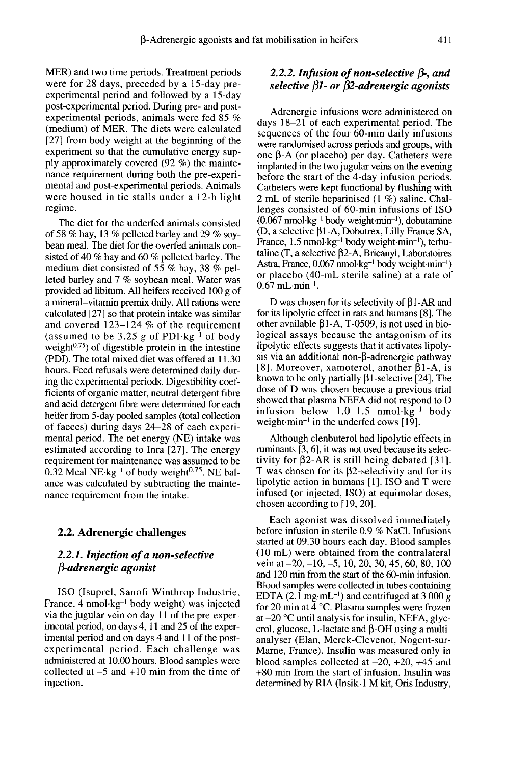MER) and two time periods. Treatment periods were for 28 days, preceded by a 15-day preexperimental period and followed by a 15-day post-experimental period. During pre- and postexperimental periods, animals were fed 85 % (medium) of MER. The diets were calculated [27] from body weight at the beginning of the experiment so that the cumulative energy supply approximately covered (92 %) the maintenance requirement during both the pre-experimental and post-experimental periods. Animals were housed in tie stalls under a 12-h light regime.

The diet for the underfed animals consisted of 58 % hay, 13 % pelleted barley and 29 % soybean meal. The diet for the overfed animals consisted of 40 % hay and 60 % pelleted barley. The medium diet consisted of 55 % hay, 38 % pelleted barley and 7 % soybean meal. Water was provided ad libitum. All heifers received 100 g of a mineral-vitamin premix daily. All rations were calculated [27] so that protein intake was similar and covered 123–124 % of the requirement<br>(assumed to be 3.25 g of PDI $\text{kg}^{-1}$  of body provided ad notium. An heners received 100 g or<br>a mineral–vitamin premix daily. All rations were<br>calculated [27] so that protein intake was similar<br>and covered 123–124 % of the requirement<br>(assumed to be 3.25 g of PDI kg<sup></sup> (PDI). The total mixed diet was offered at 11.30 hours. Feed refusals were determined daily during the experimental periods. Digestibility coefficients of organic matter, neutral detergent fibre and acid detergent fibre were determined for each heifer from 5-day pooled samples (total collection of faeces) during days 24-28 of each experimental period. The net energy (NE) intake was estimated according to Inra [27]. The energy requirement for maintenance was assumed to be 0.32 Mcal NE $\cdot$ kg<sup>-1</sup> of body weight<sup>0.75</sup>. NE balance was calculated by subtracting the maintenance requirement from the intake.

#### 2.2. Adrenergic challenges

## 2.2.1. Injection of a non-selective  $\beta$ -adrenergic agonist

ISO (Isuprel, Sanofi Winthrop Industrie, France, 4 nmol-kg- I body weight) was injected<br>France, 4 nmol-kg- I body weight) was injected<br>via the jugular vein on day 11 of the pre-expervia the jugular vein on day 11 of the pre-experimental period, on days 4, 11 and 25 of the experimental period and on days 4 and 11 of the postexperimental period. Each challenge was administered at 10.00 hours. Blood samples were collected at  $-5$  and  $+10$  min from the time of injection.

## 2.2.2. Infusion of non-selective  $\beta$ -, and selective  $\beta$ 1- or  $\beta$ 2-adrenergic agonists

Adrenergic infusions were administered on days 18-21 of each experimental period. The sequences of the four 60-min daily infusions were randomised across periods and groups, with one  $\beta$ -A (or placebo) per day. Catheters were implanted in the two jugular veins on the evening before the start of the 4-day infusion periods. Catheters were kept functional by flushing with 2 mL of sterile heparinised (1 %) saline. Challenges consisted of 60-min infusions of ISO  $(0.067 \text{ nmol·kg}^{-1}$  body weight min<sup>-1</sup>), dobutamine one  $\beta$ -A (or placebo) per day. Catheters were<br>implanted in the two jugular veins on the evening<br>before the start of the 4-day infusion periods.<br>Catheters were kept functional by flushing with<br>2 mL of sterile heparinised (D, a selective  $\beta$ 1-A, Dobutrex, Lilly France SA, France, 1.5 nmol·kg<sup>-1</sup> body weight·min<sup>-1</sup>), terbubefore the start of the 4-day infusion periods.<br>Catheters were kept functional by flushing with<br>2 mL of sterile heparinised (1 %) saline. Chal-<br>lenges consisted of 60-min infusions of ISO<br>(0.067 nmol·kg<sup>-1</sup> body weight-mi taline (T, a selective p2-A, Bricanyl, Laboratoires (0.067 nmol.kg · body weight-min ·), dobutamine<br>(D, a selective  $\beta$ 1-A, Dobutrex, Lilly France SA,<br>France, 1.5 nmol.kg<sup>-1</sup> body weight-min<sup>-1</sup>), terbu-<br>taline (T, a selective  $\beta$ 2-A, Bricanyl, Laboratoires<br>Astra, France  $0.67$  mL $\cdot$ min<sup>-1</sup>.

D was chosen for its selectivity of  $\beta$ 1-AR and for its lipolytic effect in rats and humans [8]. The other available  $\beta$ 1-A, T-0509, is not used in biological assays because the antagonism of its lipolytic effects suggests that it activates lipolysis via an additional non- $\beta$ -adrenergic pathway [8]. Moreover, xamoterol, another  $\beta$ 1-A, is<br>known to be only partially  $\beta$ 1-selective [24]. The<br>dose of D was chosen because a previous trial<br>showed that plasma NEFA did not respond to D<br>infusion below 1.0–1.5 nmol·kg<sup></sup> known to be only partially  $\beta$ 1-selective [24]. The dose of D was chosen because a previous trial showed that plasma NEFA did not respond to D<br>infusion below  $1.0-1.5$  nmol $\text{kg}^{-1}$  body weight $\cdot$ min<sup>-1</sup> in the underfed cows [19].

Although clenbuterol had lipolytic effects in ruminants [3, 6], it was not used because its selectivity for  $\beta$ 2-AR is still being debated [31]. T was chosen for its  $\beta$ 2-selectivity and for its lipolytic action in humans [1]. ISO and T were infused (or injected, ISO) at equimolar doses, chosen according to [19, 20].

Each agonist was dissolved immediately before infusion in sterile 0.9 % NaCI. Infusions started at 09.30 hours each day. Blood samples (10 mL) were obtained from the contralateral vein at  $-20$ ,  $-10$ ,  $-5$ , 10, 20, 30, 45, 60, 80, 100 and 120 min from the start of the 60-min infusion. Blood samples were collected in tubes containing EDTA (2.1 mg·mL<sup>-1</sup>) and centrifuged at 3 000 g for 20 min at 4 °C. Plasma samples were frozen at  $-20$  °C until analysis for insulin, NEFA, glycerol, glucose, L-lactate and  $\beta$ -OH using a multianalyser (Elan, Merck-Clevenot, Nogent-sur-Marne, France). Insulin was measured only in blood samples collected at  $-20$ ,  $+20$ ,  $+45$  and +80 min from the start of infusion. Insulin was determined by RIA (Insik-1 M kit, Oris Industry,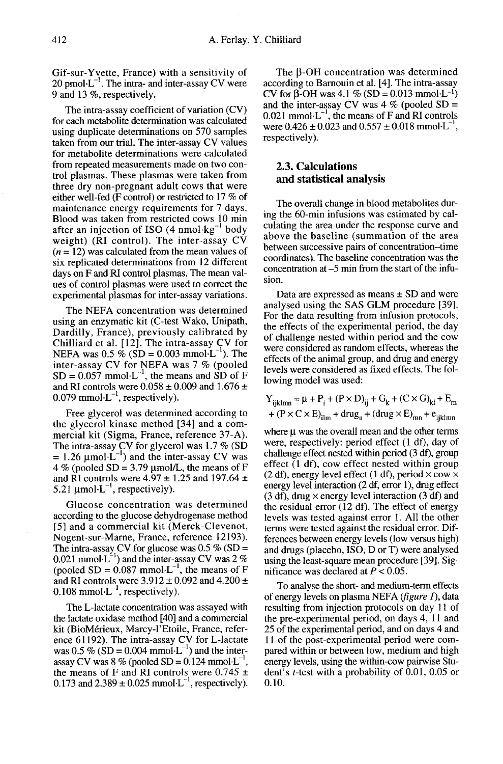Gif-sur-Yvette, France) with a sensitivity of  $20 \text{ pmol·L}^{-1}$ . The intra- and inter-assay CV were 9 and 13 %, respectively.

The intra-assay coefficient of variation (CV) for each metabolite determination was calculated using duplicate determinations on 570 samples taken from our trial. The inter-assay CV values for metabolite determinations were calculated from repeated measurements made on two control plasmas. These plasmas were taken from three dry non-pregnant adult cows that were either well-fed (F control) or restricted to 17 % of maintenance energy requirements for 7 days. Blood was taken from restricted cows 10 min after an injection of ISO  $(4 \text{ nmol·kg}^{-1} \text{ body})$ weight) (RI control). The inter-assay CV  $(n = 12)$  was calculated from the mean values of six replicated determinations from 12 different days on F and RI control plasmas. The mean values of control plasmas were used to correct the experimental plasmas for inter-assay variations.

The NEFA concentration was determined using an enzymatic kit (C-test Wako, Unipath, Dardilly, France), previously calibrated by Chilliard et al. [12]. The intra-assay CV for NEFA was  $0.5 \%$  (SD = 0.003 mmol·L<sup>-1</sup>). The inter-assay CV for NEFA was 7 % (pooled Dardilly, France), previously calibrated by<br>Chilliard et al. [12]. The intra-assay CV for<br>NEFA was  $0.5\%$  (SD = 0.003 mmol $L^{-1}$ ). The<br>inter-assay CV for NEFA was 7 % (pooled<br>SD = 0.057 mmol $L^{-1}$ , the means and SD of F<br> and RI controls were  $0.058 \pm 0.009$  and  $1.676 \pm 0.079$  mmol·L<sup>-1</sup>, respectively). NEFA was  $0.5\%$  (SD = 0.003<br>inter-assay CV for NEFA w<br>SD = 0.057 mmol·L<sup>-1</sup>, the me<br>and RI controls were 0.058 ± 0<br>0.079 mmol·L<sup>-1</sup>, respectively).<br>Free *s* lycerol was determin

Free glycerol was determined according to the glycerol kinase method [34] and a commercial kit (Sigma, France, reference 37-A).<br>The intra-assay CV for glycerol was 1.7 % (SD) Free glycerol was determined according to<br>the glycerol kinase method [34] and a com-<br>mercial kit (Sigma, France, reference 37-A).<br>The intra-assay CV for glycerol was 1.7 % (SD<br>= 1.26  $\mu$ mol·L<sup>-1</sup>) and the inter-assay CV  $4\%$  (pooled SD = 3.79 µmol/L, the means of F and RI controls were 4.97  $\pm$  1.25 and 197.64  $\pm$ <br>5.21 µmol·L<sup>-1</sup>, respectively). The intra-assay CV for glyces<br>= 1.26  $\mu$ mol·L<sup>-1</sup>) and the int<br>4 % (pooled SD = 3.79  $\mu$ mol<br>and RI controls were 4.97 ±<br>5.21  $\mu$ mol·L<sup>-1</sup>, respectively).<br>Glucose concentration

Glucose concentration was determined according to the glucose dehydrogenase method [5] and a commercial kit (Merck-Clevenot, Nogent-sur-Marne, France, reference 12193). The intra-assay CV for glucose was 0.5 % (SD = 0.021 mmol·L<sup>-1</sup>) and the inter-assay CV was 2 % according to the glucose dehydrogenase method<br>[5] and a commercial kit (Merck-Clevenot,<br>Nogent-sur-Marne, France, reference 12193).<br>The intra-assay CV for glucose was 0.5 % (SD =<br>0.021 mmol·L<sup>-1</sup>) and the inter-assay CV w [5] and a commercial kit (Merck-Clevenot,<br>Nogent-sur-Marne, France, reference 12193).<br>The intra-assay CV for glucose was 0.5 % (SD =<br>0.021 mmol·L<sup>-1</sup>) and the inter-assay CV was 2 %<br>(pooled SD = 0.087 mmol·L<sup>-1</sup>, the mean and RI controls were  $3.912 \pm 0.092$  and  $4.200 \pm$  $0.108$  mmol $\cdot L^{-1}$ , respectively).

The L-lactate concentration was assayed with the lactate oxidase method [40] and a commercial kit (BioMerieux, Marcy-1'Etoile, France, reference 61192). The intra-assay CV for L-lactate The L-lactate concentration was assayed with<br>the lactate oxidase method [40] and a commercial<br>kit (BioMérieux, Marcy-l'Etoile, France, refer-<br>ence 61192). The intra-assay CV for L-lactate<br>was  $0.5\%$  (SD = 0.004 mmol-L<sup>-1</sup> assay CV was  $8\%$  (pooled SD = 0.124) the means of F and RI controls were  $0.745 \pm 0.124$  links ommercial<br>nce, refer-<br>L-lactate<br>l the inter-<br>mmol·L<sup>-1</sup>,<br>e 0.745 ± 0.173 and  $2.389 \pm 0.025$  mmol $\cdot$ L<sup>-1</sup>, respectively).

The  $\beta$ -OH concentration was determined according to Barnouin et al. [4]. The intra-assay CV for  $\beta$ -OH was 4.1 % (SD = 0.013) and the inter-assay CV was  $4\%$  (pooled SD = etermined<br>intra-assay<br>mmol·L<sup>-1</sup>)<br>oled SD =  $0.021$  mmol $\cdot L^{-1}$ , the means of F and RI controls according to Barnouin et al. [4]. The intra-assay CV for  $\beta$ -OH was 4.1 % (SD = 0.013 mmol·L<sup>-1</sup>) and the inter-assay CV was 4 % (pooled SD = 0.021 mmol·L<sup>-1</sup>, the means of F and RI controls were 0.426 ± 0.023 and 0.557

### 2.3. Calculations and statistical analysis

The overall change in blood metabolites during the 60-min infusions was estimated by calculating the area under the response curve and above the baseline (summation of the area between successive pairs of concentration-time coordinates). The baseline concentration was the concentration at -5 min from the start of the infusion.

Data are expressed as means  $\pm$  SD and were analysed using the SAS GLM procedure [39]. For the data resulting from infusion protocols, the effects of the experimental period, the day of challenge nested within period and the cow were considered as random effects, whereas the effects of the animal group, and drug and energy levels were considered as fixed effects. The following model was used:

$$
Y_{ijklmn} = \mu + P_i + (P \times D)_{ij} + G_k + (C \times G)_{kl} + E_m
$$
  
+ (P \times C \times E)\_{ilm} + drug\_n + (drug \times E)\_{mn} + e\_{ijklmn}

where  $\mu$  was the overall mean and the other terms were, respectively: period effect (1 df), day of challenge effect nested within period (3 df), group effect (1 df), cow effect nested within group (2 df), energy level effect (1 df), period  $\times$  cow  $\times$ energy level interaction (2 df, error 1), drug effect  $(3 df)$ , drug  $\times$  energy level interaction  $(3 df)$  and the residual error (12 df). The effect of energy levels was tested against error 1. All the other terms were tested against the residual error. Differences between energy levels (low versus high) and drugs (placebo, ISO, D or T) were analysed using the least-square mean procedure [39]. Significance was declared at  $P < 0.05$ .

To analyse the short- and medium-term effects of energy levels on plasma NEFA ( $figure I$ ), data resulting from injection protocols on day 11 of the pre-experimental period, on days 4, 11 and 25 of the experimental period, and on days 4 and 11 of the post-experimental period were compared within or between low, medium and high energy levels, using the within-cow pairwise Student's t-test with a probability of 0.01, 0.05 or 0.10.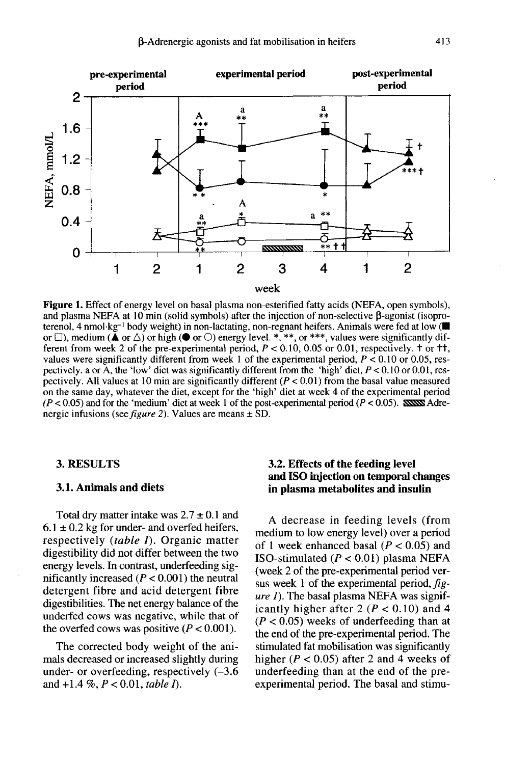

**Figure 1.** Effect of energy level on basal plasma non-esterified fatty acids (NEFA, open symbols). and plasma NEFA at 10 min (solid symbols) after the injection of non-selective  $\beta$ -agonist (isoproterenol, 4 nmol·kg<sup>-1</sup> body weight) in non-lactating, non-regnant heifers. Animals were fed at low ( or  $\square$ ), medium ( $\blacktriangle$  or  $\triangle$ ) or high ( $\blacktriangleright$  or  $\square$ ) energy level. \*, \*\*, or \*\*\*, values were significantly different from week 2 of the pre-experimental period,  $P < 0.10$ , 0.05 or 0.01, respectively.  $\tau$  or  $\tau\tau$ , values were significantly different from week 1 of the experimental period,  $P < 0.10$  or 0.05, respectively. a or  $\overline{A}$ , the 'low' diet was significantly different from the 'high' diet,  $P < 0.10$  or 0.01, respectively. All values at 10 min are significantly different  $(P < 0.01)$  from the basal value measured on the same day, whatever the diet, except for the 'high' diet at week 4 of the experimental period  $(P < 0.05)$  and for the 'medium' diet at week 1 of the post-experimental period ( $P < 0.05$ ). SOSSNA Adrenergic infusions (see *figure 2*). Values are means  $\pm$  SD.

#### 3. RESULTS

#### 3.1. Animals and diets

Total dry matter intake was  $2.7 \pm 0.1$  and  $6.1 \pm 0.2$  kg for under- and overfed heifers, respectively (table I). Organic matter digestibility did not differ between the two energy levels. In contrast, underfeeding significantly increased  $(P < 0.001)$  the neutral detergent fibre and acid detergent fibre digestibilities. The net energy balance of the underfed cows was negative, while that of the overfed cows was positive  $(P < 0.001)$ .

The corrected body weight of the animals decreased or increased slightly during under- or overfeeding, respectively (-3.6 and  $+1.4\%$ ,  $P < 0.01$ , table I).

## 3.2. Effects of the feeding level and ISO injection on temporal changes in plasma metabolites and insulin

A decrease in feeding levels (from medium to low energy level) over a period of 1 week enhanced basal ( $P < 0.05$ ) and ISO-stimulated  $(P < 0.01)$  plasma NEFA (week 2 of the pre-experimental period ver-<br>sus week 1 of the experimental period,  $fig$ ure 1). The basal plasma NEFA was significantly higher after 2 ( $P < 0.10$ ) and 4  $(P < 0.05)$  weeks of underfeeding than at the end of the pre-experimental period. The stimulated fat mobilisation was significantly higher ( $P < 0.05$ ) after 2 and 4 weeks of underfeeding than at the end of the preexperimental period. The basal and stimu-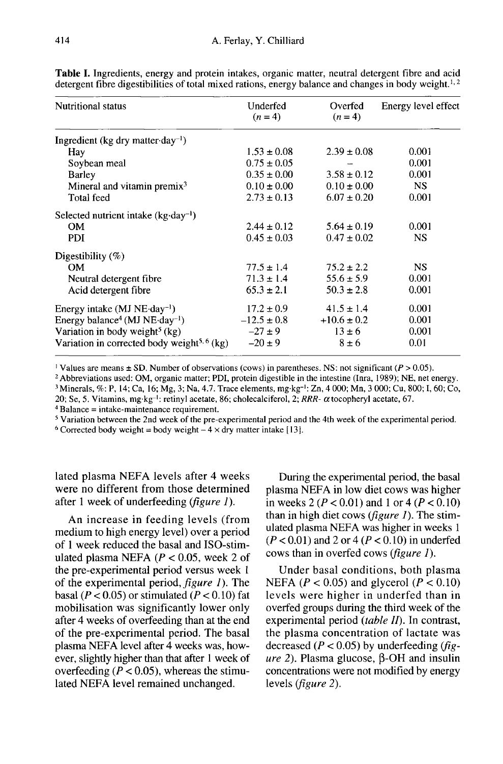| <b>Nutritional status</b>                               | Underfed<br>$(n=4)$ | Overfed<br>$(n=4)$ | Energy level effect |
|---------------------------------------------------------|---------------------|--------------------|---------------------|
| Ingredient (kg dry matter $day^{-1}$ )                  |                     |                    |                     |
| Hay                                                     | $1.53 \pm 0.08$     | $2.39 \pm 0.08$    | 0.001               |
| Soybean meal                                            | $0.75 \pm 0.05$     |                    | 0.001               |
| Barley                                                  | $0.35 \pm 0.00$     | $3.58 \pm 0.12$    | 0.001               |
| Mineral and vitamin premix <sup>3</sup>                 | $0.10 \pm 0.00$     | $0.10 \pm 0.00$    | <b>NS</b>           |
| Total feed                                              | $2.73 \pm 0.13$     | $6.07 \pm 0.20$    | 0.001               |
| Selected nutrient intake $(kg \cdot day^{-1})$          |                     |                    |                     |
| OМ                                                      | $2.44 \pm 0.12$     | $5.64 \pm 0.19$    | 0.001               |
| PDI                                                     | $0.45 \pm 0.03$     | $0.47 \pm 0.02$    | NS.                 |
| Digestibility $(\%)$                                    |                     |                    |                     |
| <b>OM</b>                                               | $77.5 \pm 1.4$      | $75.2 \pm 2.2$     | <b>NS</b>           |
| Neutral detergent fibre                                 | $71.3 \pm 1.4$      | $55.6 \pm 5.9$     | 0.001               |
| Acid detergent fibre                                    | $65.3 \pm 2.1$      | $50.3 \pm 2.8$     | 0.001               |
| Energy intake $(MJ NE-day^{-1})$                        | $17.2 \pm 0.9$      | $41.5 \pm 1.4$     | 0.001               |
| Energy balance <sup>4</sup> (MJ NE-day <sup>-1</sup> )  | $-12.5 \pm 0.8$     | $+10.6 \pm 0.2$    | 0.001               |
| Variation in body weight <sup>5</sup> (kg)              | $-27 \pm 9$         | $13 \pm 6$         | 0.001               |
| Variation in corrected body weight <sup>5, 6</sup> (kg) | $-20 \pm 9$         | $8 \pm 6$          | 0.01                |

Table I. Ingredients, energy and protein intakes, organic matter, neutral detergent fibre and acid detergent fibre digestibilities of total mixed rations, energy balance and changes in body weight.<sup>1,2</sup>

<sup>1</sup> Values are means  $\pm$  SD. Number of observations (cows) in parentheses. NS: not significant ( $P > 0.05$ ).

<sup>2</sup> Abbreviations used: OM, organic matter; PDI, protein digestible in the intestine (Inra, 1989); NE, net energy. <sup>3</sup> Minerals, %: P, 14; Ca, 16; Mg, 3; Na, 4.7. Trace elements, mg·kg<sup>-1</sup>: Zn, 4 000; Mn, 3 000; Cu, 800; I, 60; Co, 20; Se, 5. Vitamins, mg·kg<sup>-1</sup>: retinyl acetate, 86; cholecalciferol, 2; RRR- $\alpha$  tocopheryl acetate, 67.

 $4$  Balance = intake-maintenance requirement.

<sup>5</sup> Variation between the 2nd week of the pre-experimental period and the 4th week of the experimental period.

<sup>6</sup> Corrected body weight = body weight  $-4 \times$  dry matter intake [13].

lated plasma NEFA levels after 4 weeks were no different from those determined after 1 week of underfeeding *(figure 1)*.

An increase in feeding levels (from medium to high energy level) over a period of 1 week reduced the basal and ISO-stimulated plasma NEFA ( $P < 0.05$ , week 2 of the pre-experimental period versus week 1 of the experimental period, *figure 1*). The basal ( $P < 0.05$ ) or stimulated ( $P < 0.10$ ) fat mobilisation was significantly lower only after 4 weeks of overfeeding than at the end of the pre-experimental period. The basal plasma NEFA level after 4 weeks was, however, slightly higher than that after 1 week of overfeeding ( $P < 0.05$ ), whereas the stimulated NEFA level remained unchanged.

During the experimental period, the basal plasma NEFA in low diet cows was higher in weeks 2 ( $P < 0.01$ ) and 1 or 4 ( $P < 0.10$ ) than in high diet cows (figure  $I$ ). The stimulated plasma NEFA was higher in weeks 1  $(P < 0.01)$  and 2 or 4  $(P < 0.10)$  in underfed cows than in overfed cows (figure 1).

Under basal conditions, both plasma NEFA ( $P < 0.05$ ) and glycerol ( $P < 0.10$ ) levels were higher in underfed than in overfed groups during the third week of the experimental period  $(table II)$ . In contrast, the plasma concentration of lactate was decreased ( $P < 0.05$ ) by underfeeding ( $fig$ *ure* 2). Plasma glucose,  $\beta$ -OH and insulin concentrations were not modified by energy levels (figure 2).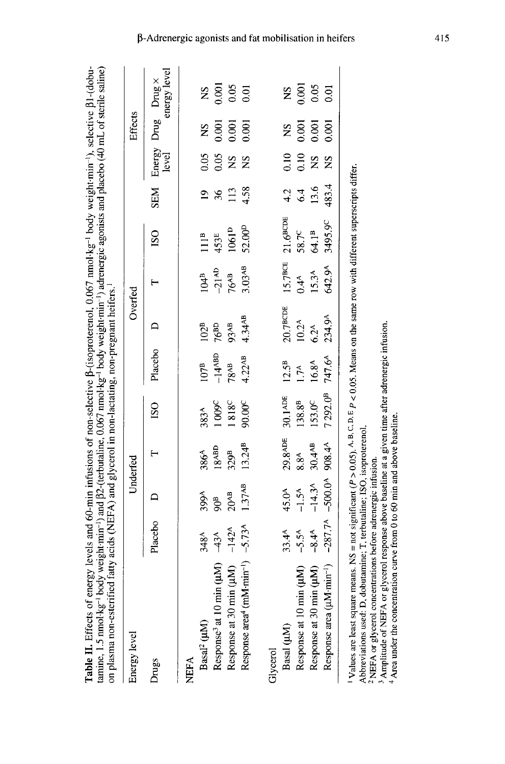| Table II. Effects of energy levels and 60-min infusions of non-selective $\beta$ -(isoproterenol, 0.067 nmol·kg <sup>-1</sup> body weight min <sup>-1</sup> ), selective $\beta1$ -(dobu-<br>tamine, 1.5 nmol·kg <sup>-1</sup> body weight min <sup>-1</sup> ) and $\beta$ 2-(terbutaline, 0.067 nmol·kg <sup>-1</sup> body weight min <sup>-1</sup> ) adrenergic agonists and placebo (40 mL of sterile saline)<br>on plasma non-esterified fatty acids (NEFA) and glycerol in non-lactating, non-pregnant heifers. <sup>1</sup> |            |                   |                    |                                                           |                   |                    |                     |                                          |                |                   |           |                                                           |
|-----------------------------------------------------------------------------------------------------------------------------------------------------------------------------------------------------------------------------------------------------------------------------------------------------------------------------------------------------------------------------------------------------------------------------------------------------------------------------------------------------------------------------------|------------|-------------------|--------------------|-----------------------------------------------------------|-------------------|--------------------|---------------------|------------------------------------------|----------------|-------------------|-----------|-----------------------------------------------------------|
| Energy level                                                                                                                                                                                                                                                                                                                                                                                                                                                                                                                      |            |                   | Underfed           |                                                           |                   | Overfed            |                     |                                          |                |                   | Effects   |                                                           |
| Drugs                                                                                                                                                                                                                                                                                                                                                                                                                                                                                                                             | Placebo    | $\mathbf{a}$      |                    | $\overline{150}$                                          | Placebo D         |                    |                     | ISO <sub></sub>                          |                |                   |           | energy level<br>SEM Energy Drug Drug×<br>level energy lev |
| NEFA                                                                                                                                                                                                                                                                                                                                                                                                                                                                                                                              |            |                   |                    |                                                           |                   |                    |                     |                                          |                |                   |           |                                                           |
| Basal <sup>2</sup> (µM)                                                                                                                                                                                                                                                                                                                                                                                                                                                                                                           | 348A       | 399A              | 386A               | 383 <sup>A</sup>                                          | $107^{\text{B}}$  | 102 <sup>B</sup>   | 104 <sup>B</sup>    | 111B                                     | $\overline{5}$ | 0.05              | <b>SN</b> | $^{2}S$                                                   |
| Response <sup>3</sup> at 10 min (µM)                                                                                                                                                                                                                                                                                                                                                                                                                                                                                              | $-43A$     | $\frac{a}{2}$     | 18ABD              | 1009C                                                     | $-14$ ABD         | $76^{BD}$          | $-21$ <sup>AD</sup> | 453E                                     | $\frac{36}{5}$ |                   | 0.001     |                                                           |
| Response at 30 min ( $\mu$ M) $-142^A$                                                                                                                                                                                                                                                                                                                                                                                                                                                                                            |            | $20^{AB}$         | 329 <sup>B</sup>   | <b>1818<sup>C</sup></b>                                   | 78^в              | 93AB               | 76 <sup>АВ</sup>    | $1061^{\rm D}$                           | 113            | $\frac{8}{500}$   | 0.001     | 0.001<br>0.05<br>0.01                                     |
| Response area <sup>4</sup> (mM·min <sup>-1</sup> ) $-5.73$ <sup>A</sup>                                                                                                                                                                                                                                                                                                                                                                                                                                                           |            | 1.37AB            | $13.24^{B}$        | $90.00^{\circ}$                                           | $4.22^{AB}$       | 4.34AB             | 3.03AB              | 52.00 <sup>D</sup>                       | 4.58           | <b>SN</b>         | 0.001     |                                                           |
| Glycerol                                                                                                                                                                                                                                                                                                                                                                                                                                                                                                                          |            |                   |                    |                                                           |                   |                    |                     |                                          |                |                   |           |                                                           |
| Basal (µM)                                                                                                                                                                                                                                                                                                                                                                                                                                                                                                                        | $33.4^{A}$ | 45.0 <sup>A</sup> |                    | 29.8ADE 30.1ADE                                           | $12.5^B$          | $20.7$ вс<br><br>Е |                     | 15.7 <sup>ВСЕ</sup> 21.6 <sup>ВСДЕ</sup> | 4.2            | 0.10              | <b>SN</b> | Ž                                                         |
| Response at 10 min (µM)                                                                                                                                                                                                                                                                                                                                                                                                                                                                                                           | $-5.5^{A}$ | $-1.5^{\text{A}}$ | $8.8^{A}$          | $138.8^{\textstyle\mathrm{B}}$                            | 1.7 <sup>A</sup>  | $10.2^{\text{A}}$  | $0.4^{A}$           | $58.7^{\circ}$                           | 6.4            | $\frac{0.10}{NS}$ | 0.001     | 0.001                                                     |
| Response at 30 min (µM)                                                                                                                                                                                                                                                                                                                                                                                                                                                                                                           | $-8.4^{A}$ | $-14.3A$          | 30.4 <sup>AB</sup> | 153.0 <sup>C</sup>                                        | $16.8^{\text{A}}$ | $6.2^{\text{A}}$   | $15.3^{A}$          | 64.1 <sup>B</sup>                        | 13.6           |                   | 0.001     | 0.05                                                      |
| Response area ( $\mu$ M·min <sup>-1</sup> ) -287.7 <sup>A</sup> -500.0 <sup>A</sup> 908.4 <sup>A</sup>                                                                                                                                                                                                                                                                                                                                                                                                                            |            |                   |                    | 7292.0 <sup>B</sup> 747.6 <sup>A</sup> 234.9 <sup>A</sup> |                   |                    | 642.9A              | 3495.9 <sup>C</sup>                      | 483.4          | <b>SN</b>         | 0.001     | 0.01                                                      |

<sup>1</sup> Values are least square means. NS = not significant ( $P > 0.05$ ), A, B, C, D, E, P < 0.05. Means on the same row with different superscripts differ.

Abbreviations used: D, dobutamine; T, terbutaline; ISO, isoproterenol.

<sup>2</sup> NEFA or glycerol concentrations before adrenergic infusion.

<sup>3</sup> Amplitude of NEFA or glycerol response above baseline at a given time after adrenergic infusion.<br><sup>4</sup> Area under the concentration curve from 0 to 60 min and above baseline.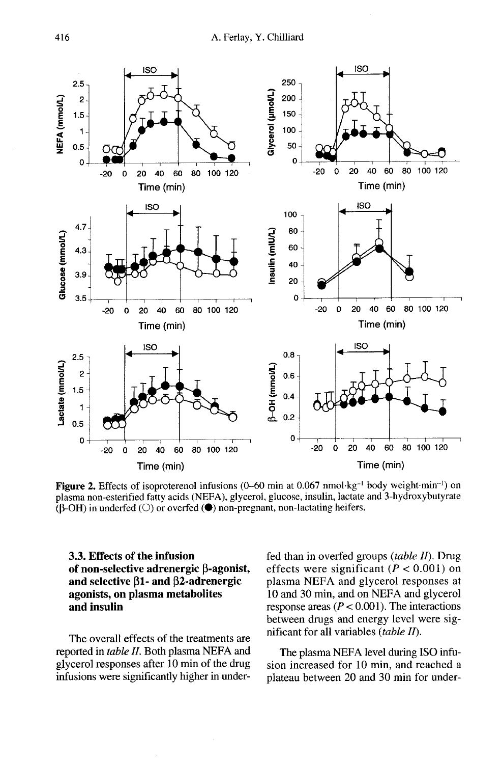

Figure 2. Effects of isoproterenol infusions (0-60 min at 0.067 nmol $\text{kg}^{-1}$  body weight min<sup>-1</sup>) on plasma non-esterified fatty acids (NEFA), glycerol, glucose, insulin, lactate and 3-hydroxybutyrate  $(B-OH)$  in underfed  $(O)$  or overfed  $(\bullet)$  non-pregnant, non-lactating heifers.

## 3.3. Effects of the infusion of non-selective adrenergic  $\beta$ -agonist, and selective  $\beta$ 1- and  $\beta$ 2-adrenergic agonists, on plasma metabolites and insulin

The overall effects of the treatments are reported in table II. Both plasma NEFA and glycerol responses after 10 min of the drug infusions were significantly higher in underfed than in overfed groups (table  $II$ ). Drug effects were significant ( $P < 0.001$ ) on plasma NEFA and glycerol responses at 10 and 30 min, and on NEFA and glycerol response areas ( $P < 0.001$ ). The interactions between drugs and energy level were significant for all variables  $(table II)$ .

The plasma NEFA level during ISO infusion increased for 10 min, and reached a plateau between 20 and 30 min for under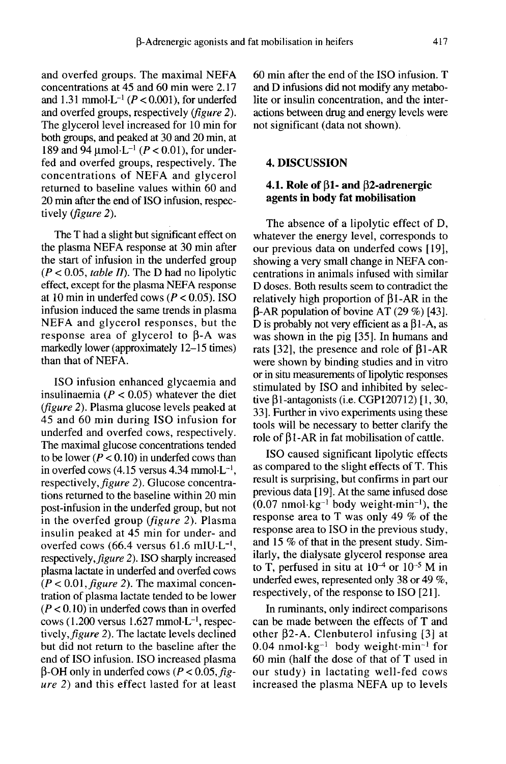and overfed groups. The maximal NEFA concentrations at 45 and 60 min were 2.17 and 1.31 mmol $-L^{-1}$  ( $P < 0.001$ ), for underfed and overfed groups, respectively (figure 2). The glycerol level increased for 10 min for both groups, and peaked at 30 and 20 min, at 189 and 94  $\mu$ mol·L<sup>-1</sup> (*P* < 0.01), for underfed and overfed groups, respectively. The concentrations of NEFA and glycerol returned to baseline values within 60 and 20 min after the end of ISO infusion, respectively (figure 2).

The T had a slight but significant effect on the plasma NEFA response at 30 min after the start of infusion in the underfed group  $(P < 0.05$ , table II). The D had no lipolytic effect, except for the plasma NEFA response at 10 min in underfed cows ( $P < 0.05$ ). ISO infusion induced the same trends in plasma NEFA and glycerol responses, but the response area of glycerol to  $\beta$ -A was markedly lower (approximately 12-15 times) than that of NEFA.

ISO infusion enhanced glycaemia and insulinaemia ( $P < 0.05$ ) whatever the diet (figure 2). Plasma glucose levels peaked at 45 and 60 min during ISO infusion for underfed and overfed cows, respectively. The maximal glucose concentrations tended to be lower ( $P < 0.10$ ) in underfed cows than in overfed cows  $(4.15 \text{ versus } 4.34 \text{ mmol·L}^{-1})$ , respectively, figure 2). Glucose concentrations returned to the baseline within 20 min post-infusion in the underfed group, but not in the overfed group (figure 2). Plasma insulin peaked at 45 min for under- and<br>overfed cows (66.4 versus 61.6 mIU·L<sup>-1</sup>, from the underleaded within 20 min<br>post-infusion in the underfed group, but not<br>in the overfed group (*figure 2*). Plasma<br>insulin peaked at 45 min for under- and<br>overfed cows (66.4 versus 61.6 mIU·L<sup>-1</sup>,<br>respectively, *fi* respectively, figure 2). ISO sharply increased plasma lactate in underfed and overfed cows  $(P < 0.01$ , *figure 2*). The maximal concentration of plasma lactate tended to be lower  $(P < 0.10)$  in underfed cows than in overfed plasma lactate in underfed and overfed cows ( $P < 0.01$ , figure 2). The maximal concentration of plasma lactate tended to be lower ( $P < 0.10$ ) in underfed cows than in overfed cows (1.200 versus 1.627 mmol $\cdot$ L<sup>-1</sup>, respec tively, figure 2). The lactate levels declined but did not return to the baseline after the end of ISO infusion. ISO increased plasma but did not return to the baseline after the<br>end of ISO infusion. ISO increased plasma<br> $\beta$ -OH only in underfed cows ( $P < 0.05$ ,  $\beta g$ -<br>ure 2) and this effect lasted for at least

60 min after the end of the ISO infusion. T and D infusions did not modify any metabolite or insulin concentration, and the interactions between drug and energy levels were not significant (data not shown).

#### 4. DISCUSSION

## 4.1. Role of  $\beta$ 1- and  $\beta$ 2-adrenergic agents in body fat mobilisation

The absence of a lipolytic effect of D, whatever the energy level, corresponds to our previous data on underfed cows [ 19], showing a very small change in NEFA concentrations in animals infused with similar D doses. Both results seem to contradict the relatively high proportion of  $\beta$ 1-AR in the  $\beta$ -AR population of bovine AT (29 %) [43]. D is probably not very efficient as a  $\beta$ 1-A, as was shown in the pig [35]. In humans and rats [32], the presence and role of  $\beta$ 1-AR were shown by binding studies and in vitro or in situ measurements of lipolytic responses stimulated by ISO and inhibited by selective  $\beta$ 1-antagonists (i.e. CGP120712) [1, 30, 33]. Further in vivo experiments using these tools will be necessary to better clarify the role of  $\beta$ 1-AR in fat mobilisation of cattle.

ISO caused significant lipolytic effects as compared to the slight effects of T. This result is surprising, but confirms in part our previous data [ 19]. At the same infused dose  $(0.07 \text{ nmol·kg}^{-1}$  body weight $\cdot$ min<sup>-1</sup>), the response area to T was only 49 % of the response area to ISO in the previous study, and 15 % of that in the present study. Similarly, the dialysate glycerol response area<br>to T, perfused in situ at  $10^{-4}$  or  $10^{-5}$  M in underfed ewes, represented only 38 or 49 %, respectively, of the response to ISO [21].

In ruminants, only indirect comparisons can be made between the effects of T and other  $\beta$ 2-A. Clenbuterol infusing [3] at  $0.04$  nmol $\text{kg}^{-1}$  body weight $\cdot$ min<sup>-1</sup> for 60 min (half the dose of that of T used in our study) in lactating well-fed cows increased the plasma NEFA up to levels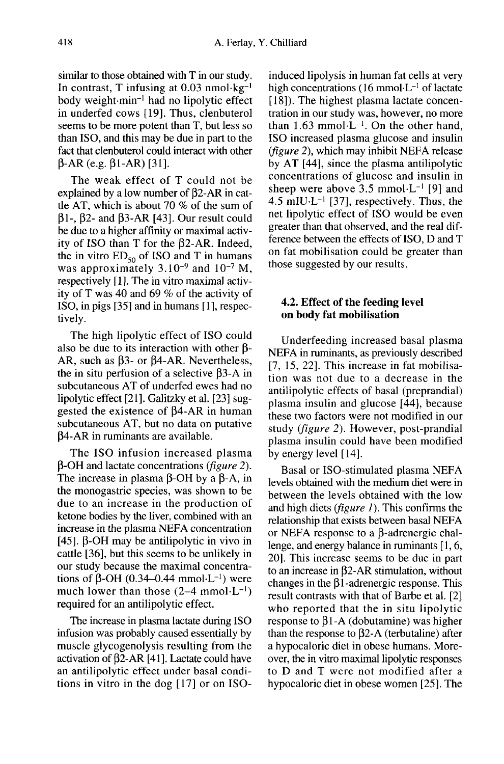similar to those obtained with T in our study. In contrast, T infusing at 0.03 body weight-min-' had no lipolytic effect A. Ferlay<br>nmol·kg<sup>-1</sup><br>ytic effect in underfed cows [19]. Thus, clenbuterol seems to be more potent than T, but less so than ISO, and this may be due in part to the fact that clenbuterol could interact with other  $\beta$ -AR (e.g.  $\beta$ 1-AR) [31].

The weak effect of T could not be explained by a low number of  $\beta$ 2-AR in cattle AT, which is about 70 % of the sum of  $\beta$ 1-,  $\beta$ 2- and  $\beta$ 3-AR [43]. Our result could be due to a higher affinity or maximal activity of ISO than T for the  $\beta$ 2-AR. Indeed, the in vitro  $ED_{50}$  of ISO and T in humans was approximately  $3.10^{-9}$  and  $10^{-7}$  M, respectively [1]. The in vitro maximal activity of T was 40 and 69 % of the activity of ISO, in pigs [35] and in humans [1], respectively.

The high lipolytic effect of ISO could also be due to its interaction with other  $\beta$ -AR, such as  $\beta$ 3- or  $\beta$ 4-AR. Nevertheless, the in situ perfusion of a selective  $\beta$ 3-A in subcutaneous AT of underfed ewes had no lipolytic effect [21]. Galitzky et al. [23] suggested the existence of  $\beta$ 4-AR in human subcutaneous AT, but no data on putative p4-AR in ruminants are available.

The ISO infusion increased plasma  $\beta$ -OH and lactate concentrations (*figure 2*). The increase in plasma  $\beta$ -OH by a  $\beta$ -A, in the monogastric species, was shown to be due to an increase in the production of ketone bodies by the liver, combined with an increase in the plasma NEFA concentration [45].  $\beta$ -OH may be antilipolytic in vivo in cattle [36], but this seems to be unlikely in our study because the maximal concentraincrease in the plasma NEFA concentration<br>[45].  $\beta$ -OH may be antilipolytic in vivo in<br>cattle [36], but this seems to be unlikely in<br>our study because the maximal concentra-<br>tions of  $\beta$ -OH (0.34-0.44 mmol-L<sup>-1</sup>) were<br>m much lower than those  $(2-4)$ required for an antilipolytic effect.

The increase in plasma lactate during ISO infusion was probably caused essentially by muscle glycogenolysis resulting from the activation of  $\beta$ 2-AR [41]. Lactate could have an antilipolytic effect under basal conditions in vitro in the dog [17] or on ISO-

induced lipolysis in human fat cells at very Chilliard<br>induced lipolysis in human fat cells at very<br>high concentrations (16 mmol- $L^{-1}$  of lactate<br>[18]). The highest plasma lactate concen-[18]). The highest plasma lactate concentration in our study was, however, no more than  $1.63$  mmol $\cdot L^{-1}$ . On the other hand, ISO increased plasma glucose and insulin (figure 2), which may inhibit NEFA release by AT [44], since the plasma antilipolytic concentrations of glucose and insulin in ISO increased plasma glucose and insulin (*figure 2*), which may inhibit NEFA release<br>by AT [44], since the plasma antilipolytic<br>concentrations of glucose and insulin in<br>sheep were above 3.5 mmol·L<sup>-1</sup> [9] and<br>4.5 mIU·L<sup>-</sup> by AT [44], since the plasma antilipolytic<br>concentrations of glucose and insulin in<br>sheep were above 3.5 mmol·L<sup>-1</sup> [9] and<br>4.5 mIU·L<sup>-1</sup> [37], respectively. Thus, the<br>net lipolytic effect of ISO would be even net lipolytic effect of ISO would be even greater than that observed, and the real difference between the effects of ISO, D and T on fat mobilisation could be greater than those suggested by our results.

## 4.2. Effect of the feeding level on body fat mobilisation

Underfeeding increased basal plasma NEFA in ruminants, as previously described [7, 15, 22]. This increase in fat mobilisation was not due to a decrease in the antilipolytic effects of basal (preprandial) plasma insulin and glucose [44], because these two factors were not modified in our study (figure 2). However, post-prandial plasma insulin could have been modified by energy level [ 14].

Basal or ISO-stimulated plasma NEFA levels obtained with the medium diet were in between the levels obtained with the low and high diets (figure 1). This confirms the relationship that exists between basal NEFA or NEFA response to a  $\beta$ -adrenergic challenge, and energy balance in ruminants [ 1, 6, 20]. This increase seems to be due in part to an increase in  $\beta$ 2-AR stimulation, without changes in the  $\beta$ 1-adrenergic response. This result contrasts with that of Barbe et al. [2] who reported that the in situ lipolytic response to  $\beta$ 1-A (dobutamine) was higher than the response to  $\beta$ 2-A (terbutaline) after a hypocaloric diet in obese humans. Moreto D and T were not modified after a hypocaloric diet in obese women [25]. The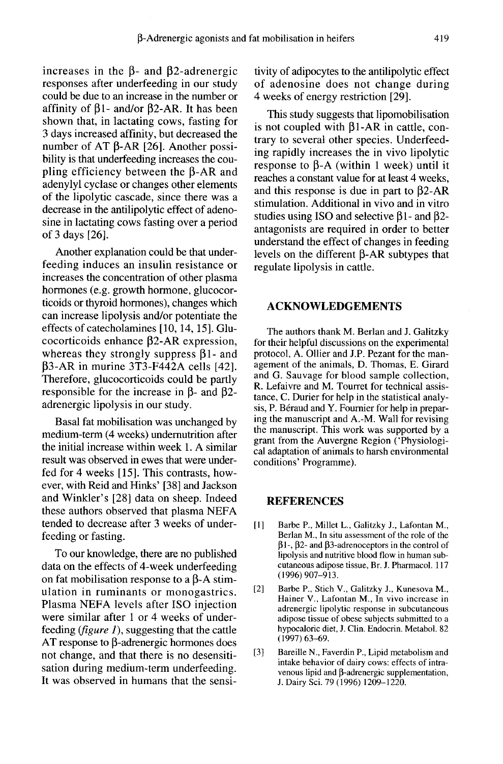increases in the  $\beta$ - and  $\beta$ 2-adrenergic responses after underfeeding in our study could be due to an increase in the number or affinity of  $\beta$ 1- and/or  $\beta$ 2-AR. It has been shown that, in lactating cows, fasting for 3 days increased affinity, but decreased the number of AT  $\beta$ -AR [26]. Another possibility is that underfeeding increases the coupling efficiency between the  $\beta$ -AR and adenylyl cyclase or changes other elements of the lipolytic cascade, since there was a decrease in the antilipolytic effect of adenosine in lactating cows fasting over a period of 3 days [26].

Another explanation could be that underfeeding induces an insulin resistance or increases the concentration of other plasma hormones (e.g. growth hormone, glucocorticoids or thyroid hormones), changes which can increase lipolysis and/or potentiate the effects of catecholamines [10, 14, 15]. Glucocorticoids enhance  $\beta$ 2-AR expression, whereas they strongly suppress  $\beta$ 1- and  $\beta$ 3-AR in murine 3T3-F442A cells [42]. Therefore, glucocorticoids could be partly responsible for the increase in  $\beta$ - and  $\beta$ 2adrenergic lipolysis in our study.

Basal fat mobilisation was unchanged by medium-term (4 weeks) undemutrition after the initial increase within week 1. A similar result was observed in ewes that were underfed for 4 weeks [15]. This contrasts, however, with Reid and Hinks' [38] and Jackson and Winkler's [28] data on sheep. Indeed these authors observed that plasma NEFA tended to decrease after 3 weeks of underfeeding or fasting.

To our knowledge, there are no published data on the effects of 4-week underfeeding on fat mobilisation response to a  $\beta$ -A stimulation in ruminants or monogastrics. Plasma NEFA levels after ISO injection were similar after 1 or 4 weeks of underfeeding ( $figure 1$ ), suggesting that the cattle AT response to  $\beta$ -adrenergic hormones does not change, and that there is no desensitisation during medium-term underfeeding. It was observed in humans that the sensitivity of adipocytes to the antilipolytic effect of adenosine does not change during 4 weeks of energy restriction [29].

This study suggests that lipomobilisation is not coupled with  $\beta$ 1-AR in cattle, contrary to several other species. Underfeeding rapidly increases the in vivo lipolytic response to  $\beta$ -A (within 1 week) until it reaches a constant value for at least 4 weeks, and this response is due in part to  $\beta$ 2-AR stimulation. Additional in vivo and in vitro studies using ISO and selective  $\beta$ 1- and  $\beta$ 2antagonists are required in order to better understand the effect of changes in feeding levels on the different  $\beta$ -AR subtypes that regulate lipolysis in cattle.

#### ACKNOWLEDGEMENTS

The authors thank M. Berlan and J. Galitzky for their helpful discussions on the experimental protocol, A. Ollier and J.P. Pezant for the management of the animals, D. Thomas, E. Girard<br>and G. Sauvage for blood sample collection, R. Lefaivre and M. Tourret for technical assistance, C. Durier for help in the statistical analysis, P. Béraud and Y. Fournier for help in preparing the manuscript and A.-M. Wall for revising the manuscript. This work was supported by a grant from the Auvergne Region ('Physiological adaptation of animals to harsh environmental conditions' Programme).

#### REFERENCES

- [1] Barbe P., Millet L., Galitzky J., Lafontan M., Berlan M., In situ assessment of the role of the  $\beta$ 1-,  $\beta$ 2- and  $\beta$ 3-adrenoceptors in the control of lipolysis and nutritive blood flow in human subcutaneous adipose tissue, Br. J. Pharmacol. 117 (1996) 907-913.
- [2] Barbe P., Stich V., Galitzky J., Kunesova M., Hainer V., Lafontan M., In vivo increase in adrenergic lipolytic response in subcutaneous adipose tissue of obese subjects submitted to a hypocaloric diet, J. Clin. Endocrin. Metabol. 82 (1997) 63-69.
- [3] Bareille N., Faverdin P., Lipid metabolism and intake behavior of dairy cows: effects of intravenous lipid and  $\beta$ -adrenergic supplementation, J. Dairy Sci. 79 (1996) 1209-1220.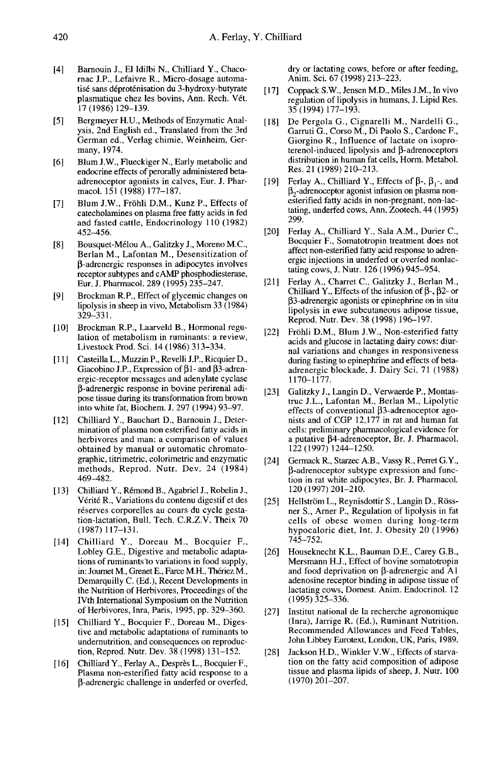- [4] Barnouin J., El Idilbi N., Chilliard Y., Chacornac J.P., Lefaivre R., Micro-dosage automatisé sans déproténisation du 3-hydroxy-butyrate plasmatique chez les bovins, Ann. Rech. V6t. 17 (1986) 129-139.
- [5] Bergmeyer H.U., Methods of Enzymatic Analysis, 2nd English ed., Translated from the 3rd German ed., Verlag chimie, Weinheim, Germany, 1974.
- [6] Blum J.W., Flueckiger N., Early metabolic and endocrine effects of perorally administered betaadrenoceptor agonists in calves, Eur. J. Pharmacol. 151 (1988) 177-187.
- [7] Blum J.W., Fröhli D.M., Kunz P., Effects of catecholamines on plasma free fatty acids in fed and fasted cattle, Endocrinology 110 (1982) 452-456.
- [8] Bousquet-Mélou A., Galitzky J., Moreno M.C., Berlan M., Lafontan M., Desensitization of P-adrenergic responses in adipocytes involves receptor subtypes and cAMP phosphodiesterase, Eur. J. Pharmacol. 289 (1995) 235-247.
- [9] Brockman R.P., Effect of glycemic changes on lipolysis in sheep in vivo, Metabolism 33 (1984) 329-331.
- [10] Brockman R.P., Laarveld B., Hormonal regu lation of metabolism in ruminants: a review, Livestock Prod. Sci. 14 (1986) 313-334.
- [11] Casteilla L., Muzzin P., Revelli J.P., Ricquier D., Giacobino J.P., Expression of  $\beta$ 1- and  $\beta$ 3-adrenergic-receptor messages and adenylate cyclase (3-adrenergic response in bovine perirenal adipose tissue during its transformation from brown into white fat, Biochem. J. 297 (1994) 93-97.
- [12] Chilliard Y., Bauchart D., Barnouin J., Determination of plasma non esterified fatty acids in herbivores and man: a comparison of values obtained by manual or automatic chromatographic, titrimetric, colorimetric and enzymatic methods, Reprod. Nutr. Dev. 24 (1984) 469-482.
- [13] Chilliard Y., Rémond B., Agabriel J., Robelin J., Verite R., Variations du contenu digestif et des réserves corporelles au cours du cycle gestation-lactation, Bull. Tech. C.R.Z.V. Theix 70  $(1987)$  117-131.
- [14] Chilliard Y., Doreau M., Bocquier F., Lobley G.E., Digestive and metabolic adaptations of ruminants to variations in food supply, in: Journet M., Grenet E., Farce M.H., Thériez M., Demarquilly C. (Ed.), Recent Developments in the Nutrition of Herbivores, Proceedings of the IVth International Symposium on the Nutrition of Herbivores, Inra, Paris, 1995, pp. 329-360.
- [15] Chilliard Y., Bocquier F., Doreau M., Digestive and metabolic adaptations of ruminants to undernutrition, and consequences on reproduction, Reprod. Nutr. Dev. 38 (1998) 131-152.
- [16] Chilliard Y., Ferlay A., Desprès L., Bocquier F., Plasma non-esterified fatty acid response to a (3-adrenergic challenge in underfed or overfed,

dry or lactating cows, before or after feeding, Anim. Sci. 67 (1998) 213-223.

- [ 17] Coppack S.W., Jensen M.D., Miles J.M., In vivo regulation of lipolysis in humans, J. Lipid Res. 35 (1994) 177-193.
- [18] De Pergola G., Cignarelli M., Nardelli G., Garruti G., Corso M., Di Paolo S., Cardone F., Giorgino R., Influence of lactate on isoproterenol-induced lipolysis and  $\beta$ -adrenoceptors distribution in human fat cells, Horm. Metabol. Res. 21 (1989) 210-213. terenoi-induced ilpolysis and p-adrenoceptors<br>distribution in human fat cells, Horm. Metabol.<br>Res. 21 (1989) 210–213.<br>[19] Ferlay A., Chilliard Y., Effects of β-, β<sub>1</sub>-, and<br> $β_2$ -adrenoceptor agonist infusion on plasma De Fregion O., Ugnatein wi., Nataent O., Cardone F.<br>Garruti G., Corso M., Di Paolo S., Cardone F.<br>Giorgino R., Influence of lactate on isopro-<br>terenol-induced lipolysis and β-adrenoceptors<br>distribution in human fat cells,
- esterified fatty acids in non-pregnant, non-lactating, underfed cows, Ann. Zootech. 44 (1995) 299.
- [20] Ferlay A., Chilliard Y., Sala A.M., Durier C., Bocquier F., Somatotropin treatment does not affect non-esterified fatty acid response to adrenergic injections in underfed or overfed nonlactating cows, J. Nutr. 126 (1996) 945-954.
- [21] Ferlay A., Charret C., Galitzky J., Berlan M., Chilliard Y., Effects of the infusion of  $\beta$ -,  $\beta$ 2- or P3-adrenergic agonists or epinephrine on in situ lipolysis in ewe subcutaneous adipose tissue, Reprod. Nutr. Dev. 38 (1998) 196-197.
- [22] Fröhli D.M., Blum J.W., Non-esterified fatty acids and glucose in lactating dairy cows: diurnal variations and changes in responsiveness during fasting to epinephrine and effects of betaadrenergic blockade, J. Dairy Sci. 71 (1988) 1170-1177.
- [23] Galitzky J., Langin D., Verwaerde P., Montastruc J.L., Lafontan M., Berlan M., Lipolytic nists and of CGP 12,177 in rat and human fat cells: preliminary pharmacological evidence for a putative (34-adrenoceptor, Br. J. Pharmacol. 122 (1997) 1244-1250.
- [24] Germack R., Starzec A.B., Vassy R., Perret G.Y., (3-adrenoceptor subtype expression and function in rat white adipocytes, Br. J. Pharmacol. 120 (1997) 201-210.
- [25] Hellström L., Reynisdottir S., Langin D., Rössner S., Arner P., Regulation of lipolysis in fat cells of obese women during long-term hypocaloric diet, Int. J. Obesity 20 (1996) 745-752.
- [26] Houseknecht K.L., Bauman D.E., Carey G.B., and food deprivation on  $\beta$ -adrenergic and Al adenosine receptor binding in adipose tissue of lactating cows, Domest. Anim. Endocrinol. 12  $(1995)\overline{3}25-336.$
- [27] Institut national de la recherche agronomique (Inra), Jarrige R. (Ed.), Ruminant Nutrition. Recommended Allowances and Feed Tables, John Libbey Eurotext, London, UK, Paris, 1989.
- [28] Jackson H.D., Winkler V.W., Effects of starvation on the fatty acid composition of adipose tissue and plasma lipids of sheep, J. Nutr. 100 (1970)201-207.